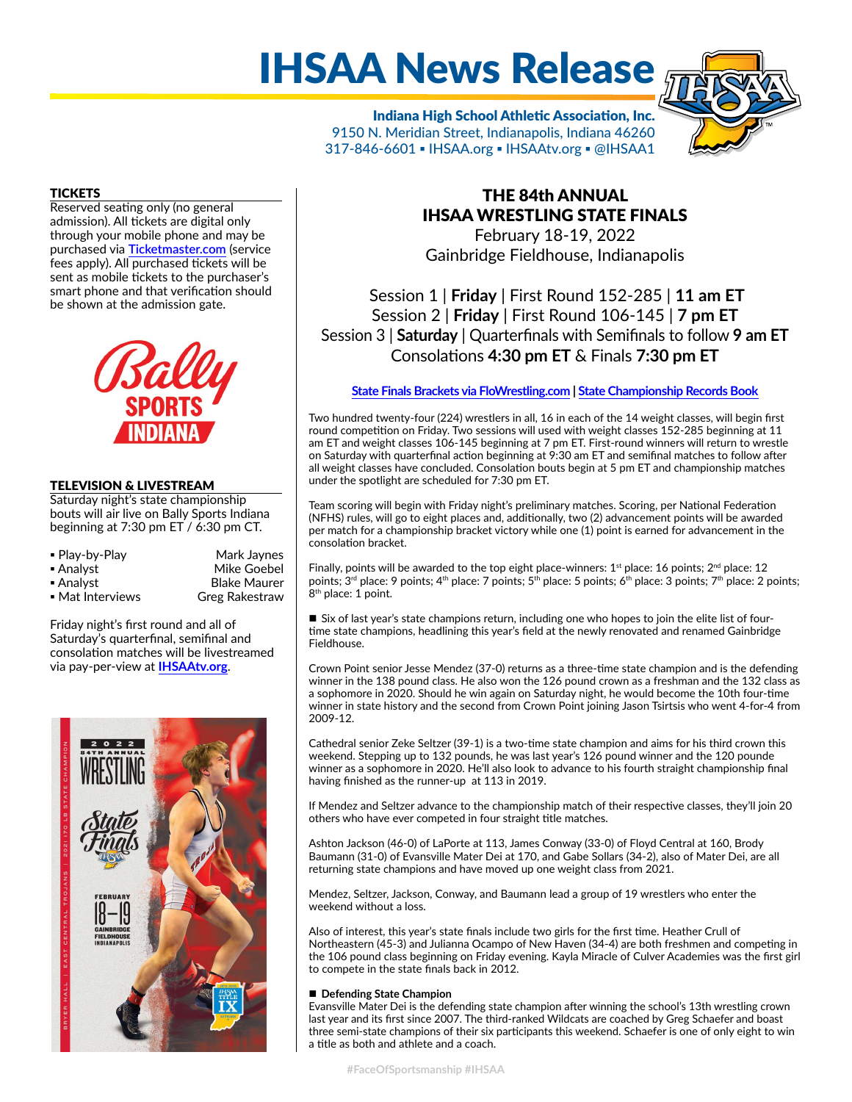# IHSAA News Release

Indiana High School Athletic Association, Inc. 9150 N. Meridian Street, Indianapolis, Indiana 46260 317-846-6601 ▪ IHSAA.org ▪ IHSAAtv.org ▪ @IHSAA1

# **TICKETS**

Reserved seating only (no general admission). All tickets are digital only through your mobile phone and may be purchased via **[Ticketmaster.com](https://www.ticketmaster.com/search?q=IHSAA+Wrestling)** (service fees apply). All purchased tickets will be sent as mobile tickets to the purchaser's smart phone and that verification should be shown at the admission gate.



# TELEVISION & LIVESTREAM

Saturday night's state championship bouts will air live on Bally Sports Indiana beginning at 7:30 pm ET / 6:30 pm CT.

| • Play-by-Play   | Mark Jaynes         |  |  |
|------------------|---------------------|--|--|
| ■ Analyst        | Mike Goebel         |  |  |
| ■ Analyst        | <b>Blake Maurer</b> |  |  |
| • Mat Interviews | Greg Rakestraw      |  |  |

Friday night's first round and all of Saturday's quarterfinal, semifinal and consolation matches will be livestreamed via pay-per-view at **[IHSAAtv.org](https://www.ihsaatv.org/)**.



# THE 84th ANNUAL IHSAA WRESTLING STATE FINALS

February 18-19, 2022 Gainbridge Fieldhouse, Indianapolis

Session 1 | **Friday** | First Round 152-285 | **11 am ET** Session 2 | **Friday** | First Round 106-145 | **7 pm ET** Session 3 | **Saturday** | Quarterfinals with Semifinals to follow **9 am ET** Consolations **4:30 pm ET** & Finals **7:30 pm ET**

#### **[State Finals Brackets via FloWrestling.com](https://www.trackwrestling.com/Login.jsp?TIM=1644960239495&twSessionId=waenamisok&tName=IHSAA%20State%20Finals&state=&sDate=&eDate=&lastName=&firstName=&teamName=&sfvString=&city=&gbId=&camps=false) | [State Championship Records Book](http://www.ihsaa.org/Portals/0/boys%20sports/wrestling/Wrestling%20Records%20Book.pdf)**

Two hundred twenty-four (224) wrestlers in all, 16 in each of the 14 weight classes, will begin first round competition on Friday. Two sessions will used with weight classes 152-285 beginning at 11 am ET and weight classes 106-145 beginning at 7 pm ET. First-round winners will return to wrestle on Saturday with quarterfinal action beginning at 9:30 am ET and semifinal matches to follow after all weight classes have concluded. Consolation bouts begin at 5 pm ET and championship matches under the spotlight are scheduled for 7:30 pm ET.

Team scoring will begin with Friday night's preliminary matches. Scoring, per National Federation (NFHS) rules, will go to eight places and, additionally, two (2) advancement points will be awarded per match for a championship bracket victory while one (1) point is earned for advancement in the consolation bracket.

Finally, points will be awarded to the top eight place-winners:  $1<sup>st</sup>$  place: 16 points;  $2<sup>nd</sup>$  place: 12 points;  $3^{rd}$  place: 9 points;  $4^{th}$  place: 7 points;  $5^{th}$  place: 5 points;  $6^{th}$  place: 3 points;  $7^{th}$  place: 2 points; 8<sup>th</sup> place: 1 point.

■ Six of last year's state champions return, including one who hopes to join the elite list of fourtime state champions, headlining this year's field at the newly renovated and renamed Gainbridge Fieldhouse.

Crown Point senior Jesse Mendez (37-0) returns as a three-time state champion and is the defending winner in the 138 pound class. He also won the 126 pound crown as a freshman and the 132 class as a sophomore in 2020. Should he win again on Saturday night, he would become the 10th four-time winner in state history and the second from Crown Point joining Jason Tsirtsis who went 4-for-4 from 2009-12.

Cathedral senior Zeke Seltzer (39-1) is a two-time state champion and aims for his third crown this weekend. Stepping up to 132 pounds, he was last year's 126 pound winner and the 120 pounde winner as a sophomore in 2020. He'll also look to advance to his fourth straight championship final having finished as the runner-up at 113 in 2019.

If Mendez and Seltzer advance to the championship match of their respective classes, they'll join 20 others who have ever competed in four straight title matches.

Ashton Jackson (46-0) of LaPorte at 113, James Conway (33-0) of Floyd Central at 160, Brody Baumann (31-0) of Evansville Mater Dei at 170, and Gabe Sollars (34-2), also of Mater Dei, are all returning state champions and have moved up one weight class from 2021.

Mendez, Seltzer, Jackson, Conway, and Baumann lead a group of 19 wrestlers who enter the weekend without a loss.

Also of interest, this year's state finals include two girls for the first time. Heather Crull of Northeastern (45-3) and Julianna Ocampo of New Haven (34-4) are both freshmen and competing in the 106 pound class beginning on Friday evening. Kayla Miracle of Culver Academies was the first girl to compete in the state finals back in 2012.

#### ■ Defending State Champion

Evansville Mater Dei is the defending state champion after winning the school's 13th wrestling crown last year and its first since 2007. The third-ranked Wildcats are coached by Greg Schaefer and boast three semi-state champions of their six participants this weekend. Schaefer is one of only eight to win a title as both and athlete and a coach.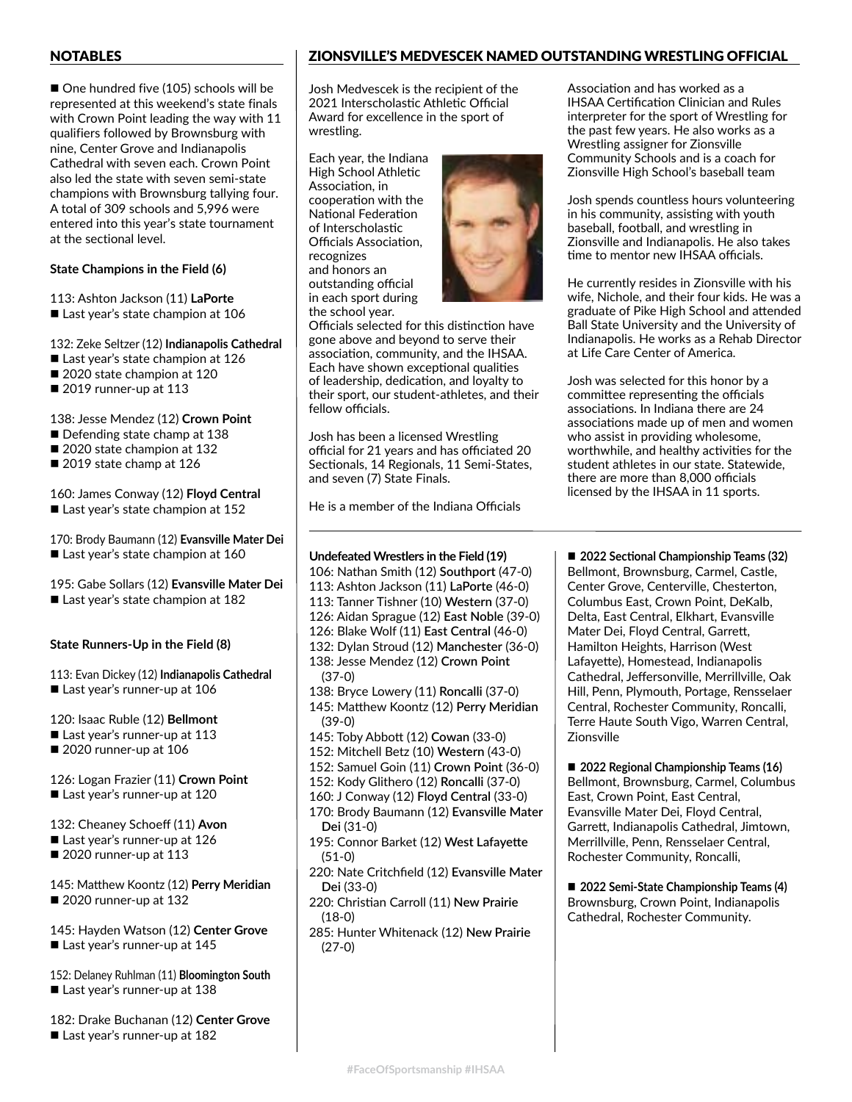# NOTABLES

 $\blacksquare$  One hundred five (105) schools will be represented at this weekend's state finals with Crown Point leading the way with 11 qualifiers followed by Brownsburg with nine, Center Grove and Indianapolis Cathedral with seven each. Crown Point also led the state with seven semi-state champions with Brownsburg tallying four. A total of 309 schools and 5,996 were entered into this year's state tournament at the sectional level.

# **State Champions in the Field (6)**

113: Ashton Jackson (11) **LaPorte**  $\blacksquare$  Last year's state champion at 106

132: Zeke Seltzer (12) **Indianapolis Cathedral**

- $\blacksquare$  Last year's state champion at 126
- 2020 state champion at 120
- $\blacksquare$  2019 runner-up at 113

138: Jesse Mendez (12) **Crown Point**

- $\blacksquare$  Defending state champ at 138
- 2020 state champion at 132
- $\blacksquare$  2019 state champ at 126

#### 160: James Conway (12) **Floyd Central**  $\blacksquare$  Last year's state champion at 152

- 
- 170: Brody Baumann (12) **Evansville Mater Dei**
- $\blacksquare$  Last year's state champion at 160

# 195: Gabe Sollars (12) **Evansville Mater Dei**

■ Last year's state champion at 182

# **State Runners-Up in the Field (8)**

113: Evan Dickey (12) **Indianapolis Cathedral** ■ Last year's runner-up at 106

120: Isaac Ruble (12) **Bellmont**  $\blacksquare$  Last year's runner-up at 113

 $\blacksquare$  2020 runner-up at 106

126: Logan Frazier (11) **Crown Point** ■ Last year's runner-up at 120

132: Cheaney Schoeff (11) **Avon**

- $\blacksquare$  Last year's runner-up at 126
- $\blacksquare$  2020 runner-up at 113

#### 145: Matthew Koontz (12) **Perry Meridian**  $\blacksquare$  2020 runner-up at 132

145: Hayden Watson (12) **Center Grove**  $\blacksquare$  Last year's runner-up at 145

152: Delaney Ruhlman (11) **Bloomington South**  $\blacksquare$  Last year's runner-up at 138

182: Drake Buchanan (12) **Center Grove** ■ Last year's runner-up at 182

# ZIONSVILLE'S MEDVESCEK NAMED OUTSTANDING WRESTLING OFFICIAL

Josh Medvescek is the recipient of the 2021 Interscholastic Athletic Official Award for excellence in the sport of wrestling.

Each year, the Indiana High School Athletic Association, in cooperation with the National Federation of Interscholastic Officials Association, recognizes and honors an outstanding official in each sport during the school year.



Officials selected for this distinction have gone above and beyond to serve their association, community, and the IHSAA. Each have shown exceptional qualities of leadership, dedication, and loyalty to their sport, our student-athletes, and their fellow officials.

Josh has been a licensed Wrestling official for 21 years and has officiated 20 Sectionals, 14 Regionals, 11 Semi-States, and seven (7) State Finals.

He is a member of the Indiana Officials

### **Undefeated Wrestlers in the Field (19)**

- 106: Nathan Smith (12) **Southport** (47-0)
- 113: Ashton Jackson (11) **LaPorte** (46-0)
- 113: Tanner Tishner (10) **Western** (37-0)
- 126: Aidan Sprague (12) **East Noble** (39-0) 126: Blake Wolf (11) **East Central** (46-0)
- 132: Dylan Stroud (12) **Manchester** (36-0)
- 138: Jesse Mendez (12) **Crown Point** (37-0)
- 138: Bryce Lowery (11) **Roncalli** (37-0)
- 145: Matthew Koontz (12) **Perry Meridian** (39-0)
- 145: Toby Abbott (12) **Cowan** (33-0)
- 152: Mitchell Betz (10) **Western** (43-0)
- 152: Samuel Goin (11) **Crown Point** (36-0)
- 152: Kody Glithero (12) **Roncalli** (37-0)
- 160: J Conway (12) **Floyd Central** (33-0) 170: Brody Baumann (12) **Evansville Mater** 
	- **Dei** (31-0)
- 195: Connor Barket (12) **West Lafayette** (51-0)
- 220: Nate Critchfield (12) **Evansville Mater Dei** (33-0)
- 220: Christian Carroll (11) **New Prairie** (18-0)
- 285: Hunter Whitenack (12) **New Prairie** (27-0)

Association and has worked as a IHSAA Certification Clinician and Rules interpreter for the sport of Wrestling for the past few years. He also works as a Wrestling assigner for Zionsville Community Schools and is a coach for Zionsville High School's baseball team

Josh spends countless hours volunteering in his community, assisting with youth baseball, football, and wrestling in Zionsville and Indianapolis. He also takes time to mentor new IHSAA officials.

He currently resides in Zionsville with his wife, Nichole, and their four kids. He was a graduate of Pike High School and attended Ball State University and the University of Indianapolis. He works as a Rehab Director at Life Care Center of America.

Josh was selected for this honor by a committee representing the officials associations. In Indiana there are 24 associations made up of men and women who assist in providing wholesome, worthwhile, and healthy activities for the student athletes in our state. Statewide, there are more than 8,000 officials licensed by the IHSAA in 11 sports.

■ 2022 Sectional Championship Teams (32) Bellmont, Brownsburg, Carmel, Castle, Center Grove, Centerville, Chesterton, Columbus East, Crown Point, DeKalb, Delta, East Central, Elkhart, Evansville Mater Dei, Floyd Central, Garrett, Hamilton Heights, Harrison (West Lafayette), Homestead, Indianapolis Cathedral, Jeffersonville, Merrillville, Oak Hill, Penn, Plymouth, Portage, Rensselaer Central, Rochester Community, Roncalli, Terre Haute South Vigo, Warren Central, Zionsville

■ 2022 Regional Championship Teams (16) Bellmont, Brownsburg, Carmel, Columbus East, Crown Point, East Central, Evansville Mater Dei, Floyd Central, Garrett, Indianapolis Cathedral, Jimtown, Merrillville, Penn, Rensselaer Central, Rochester Community, Roncalli,

■ 2022 Semi-State Championship Teams (4) Brownsburg, Crown Point, Indianapolis Cathedral, Rochester Community.